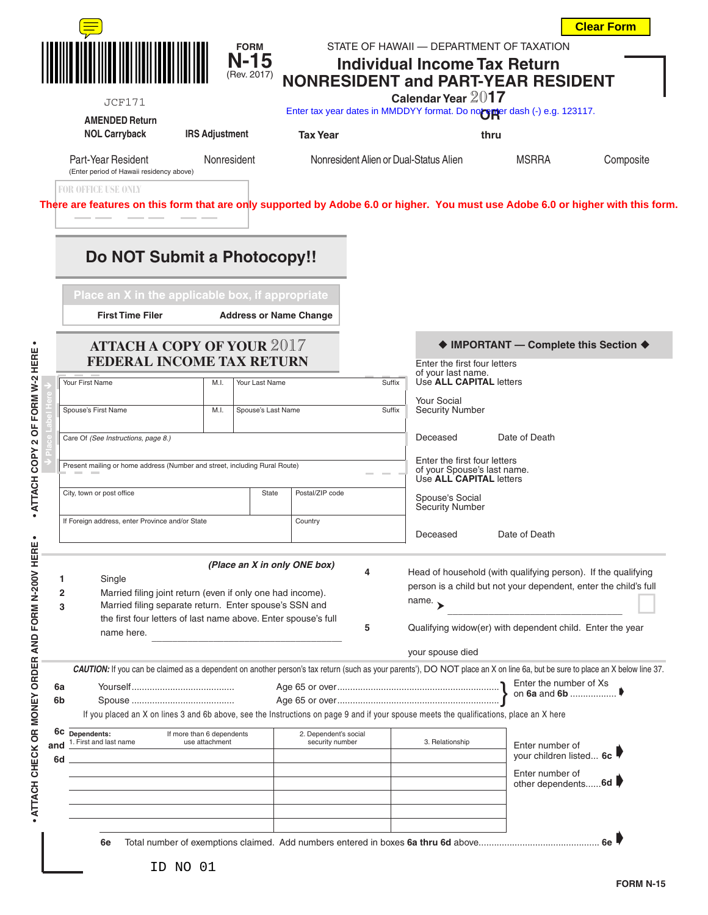**FORM** STATE OF HAWAII — DEPARTMENT OF TAXATION

**Clear Form**

|          | <b>JCF171</b><br><b>AMENDED Return</b>                                                                                                                                                                                                                                         |                       | <b>N-15</b><br>(Rev. 2017)    |                                        |                           | <b>Individual Income Tax Return</b><br>Calendar Year 2017                                                                         | <b>NONRESIDENT and PART-YEAR RESIDENT</b><br>Enter tax year dates in MMDDYY format. Do not suber dash (-) e.g. 123117. |           |  |  |
|----------|--------------------------------------------------------------------------------------------------------------------------------------------------------------------------------------------------------------------------------------------------------------------------------|-----------------------|-------------------------------|----------------------------------------|---------------------------|-----------------------------------------------------------------------------------------------------------------------------------|------------------------------------------------------------------------------------------------------------------------|-----------|--|--|
|          | <b>NOL Carryback</b>                                                                                                                                                                                                                                                           | <b>IRS Adjustment</b> |                               | <b>Tax Year</b>                        |                           | thru                                                                                                                              |                                                                                                                        |           |  |  |
|          | Part-Year Resident<br>Nonresident<br>(Enter period of Hawaii residency above)<br><b>FOR OFFICE USE ONLY</b>                                                                                                                                                                    |                       |                               | Nonresident Alien or Dual-Status Alien |                           |                                                                                                                                   | MSRRA                                                                                                                  | Composite |  |  |
|          | There are features on this form that are only supported by Adobe 6.0 or higher. You must use Adobe 6.0 or higher with this form.<br>Do NOT Submit a Photocopy!!                                                                                                                |                       |                               |                                        |                           |                                                                                                                                   |                                                                                                                        |           |  |  |
|          | Place an X in the applicable box, if appropriate<br><b>First Time Filer</b><br><b>ATTACH A COPY OF YOUR 2017</b>                                                                                                                                                               |                       | <b>Address or Name Change</b> |                                        |                           |                                                                                                                                   | ♦ IMPORTANT - Complete this Section ♦                                                                                  |           |  |  |
|          | <b>FEDERAL INCOME TAX RETURN</b>                                                                                                                                                                                                                                               |                       |                               | Enter the first four letters           |                           |                                                                                                                                   |                                                                                                                        |           |  |  |
|          | Your First Name                                                                                                                                                                                                                                                                | M.I.                  | Your Last Name                |                                        | Suffix                    | of your last name.<br>Use ALL CAPITAL letters                                                                                     |                                                                                                                        |           |  |  |
|          | Spouse's First Name                                                                                                                                                                                                                                                            | M.I.                  | Spouse's Last Name            |                                        | Suffix                    | <b>Your Social</b><br><b>Security Number</b>                                                                                      |                                                                                                                        |           |  |  |
|          | Care Of (See Instructions, page 8.)                                                                                                                                                                                                                                            |                       |                               |                                        |                           | Date of Death<br>Deceased                                                                                                         |                                                                                                                        |           |  |  |
|          | Present mailing or home address (Number and street, including Rural Route)                                                                                                                                                                                                     |                       |                               |                                        |                           | Enter the first four letters<br>of your Spouse's last name.<br>Use ALL CAPITAL letters                                            |                                                                                                                        |           |  |  |
|          | City, town or post office<br>State                                                                                                                                                                                                                                             |                       |                               | Postal/ZIP code                        |                           | Spouse's Social<br>Security Number                                                                                                |                                                                                                                        |           |  |  |
|          | If Foreign address, enter Province and/or State<br>Country                                                                                                                                                                                                                     |                       |                               |                                        | Date of Death<br>Deceased |                                                                                                                                   |                                                                                                                        |           |  |  |
|          | (Place an X in only ONE box)<br>Single<br>1<br>Married filing joint return (even if only one had income).<br>2<br>Married filing separate return. Enter spouse's SSN and<br>3<br>the first four letters of last name above. Enter spouse's full                                |                       |                               | 4                                      | name. $\rightarrow$       | Head of household (with qualifying person). If the qualifying<br>person is a child but not your dependent, enter the child's full |                                                                                                                        |           |  |  |
|          | name here.                                                                                                                                                                                                                                                                     |                       |                               | 5                                      |                           | Qualifying widow(er) with dependent child. Enter the year                                                                         |                                                                                                                        |           |  |  |
|          | your spouse died<br>CAUTION: If you can be claimed as a dependent on another person's tax return (such as your parents'), DO NOT place an X on line 6a, but be sure to place an X below line 37.                                                                               |                       |                               |                                        |                           |                                                                                                                                   |                                                                                                                        |           |  |  |
| 6a<br>6b |                                                                                                                                                                                                                                                                                |                       |                               |                                        |                           |                                                                                                                                   | Enter the number of Xs                                                                                                 |           |  |  |
| and      | If you placed an X on lines 3 and 6b above, see the Instructions on page 9 and if your spouse meets the qualifications, place an X here<br>6C Dependents:<br>If more than 6 dependents<br>2. Dependent's social<br>1. First and last name<br>use attachment<br>security number |                       |                               |                                        | 3. Relationship           | Enter number of                                                                                                                   |                                                                                                                        |           |  |  |
| 6d       |                                                                                                                                                                                                                                                                                |                       |                               |                                        |                           |                                                                                                                                   | your children listed 6c<br>Enter number of<br>other dependents 6d                                                      |           |  |  |
|          |                                                                                                                                                                                                                                                                                |                       |                               |                                        |                           |                                                                                                                                   |                                                                                                                        |           |  |  |
|          | 6e                                                                                                                                                                                                                                                                             |                       |                               |                                        |                           |                                                                                                                                   |                                                                                                                        |           |  |  |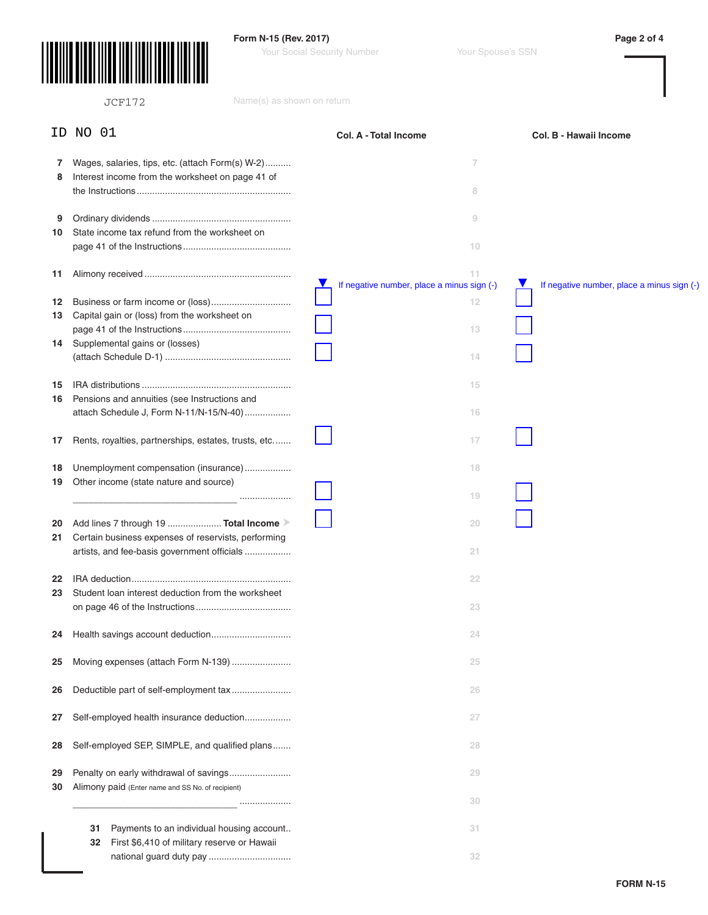

**Form N-15 (Rev. 2017) Page 2 of 4**

Your Social Security Number Your Spouse's SSN

|                | Name(s) as shown on return<br><b>JCF172</b>                                                                                                |                                                       |                                            |
|----------------|--------------------------------------------------------------------------------------------------------------------------------------------|-------------------------------------------------------|--------------------------------------------|
| ID.            | NO 01                                                                                                                                      | <b>Col. A - Total Income</b>                          | Col. B - Hawaii Income                     |
| 7<br>8         | Wages, salaries, tips, etc. (attach Form(s) W-2)<br>Interest income from the worksheet on page 41 of                                       | 7<br>8                                                |                                            |
| 9<br>10        | State income tax refund from the worksheet on                                                                                              | 9<br>10                                               |                                            |
| 11             |                                                                                                                                            | 11<br>V<br>If negative number, place a minus sign (-) | If negative number, place a minus sign (-) |
| 12<br>13<br>14 | Capital gain or (loss) from the worksheet on<br>Supplemental gains or (losses)                                                             | 12<br>13                                              |                                            |
|                |                                                                                                                                            | 14                                                    |                                            |
| 15<br>16       | Pensions and annuities (see Instructions and<br>attach Schedule J, Form N-11/N-15/N-40)                                                    | 15<br>16                                              |                                            |
| 17             | Rents, royalties, partnerships, estates, trusts, etc                                                                                       | 17                                                    |                                            |
| 18<br>19       | Unemployment compensation (insurance)<br>Other income (state nature and source)<br>                                                        | 18<br>19                                              |                                            |
| 20<br>21       | Add lines 7 through 19  Total Income<br>Certain business expenses of reservists, performing<br>artists, and fee-basis government officials | 20<br>21                                              |                                            |
| 22             |                                                                                                                                            | 22                                                    |                                            |
| 23             | Student loan interest deduction from the worksheet                                                                                         | 23                                                    |                                            |
| 24             |                                                                                                                                            | 24                                                    |                                            |
| 25             |                                                                                                                                            | 25                                                    |                                            |
| 26             | Deductible part of self-employment tax                                                                                                     | 26                                                    |                                            |
| 27             | Self-employed health insurance deduction                                                                                                   | 27                                                    |                                            |
| 28             | Self-employed SEP, SIMPLE, and qualified plans                                                                                             | 28                                                    |                                            |
| 29<br>30       | Penalty on early withdrawal of savings<br>Alimony paid (Enter name and SS No. of recipient)                                                | 29                                                    |                                            |
|                | .                                                                                                                                          | 30                                                    |                                            |
|                | Payments to an individual housing account<br>31<br>First \$6,410 of military reserve or Hawaii<br>32                                       | 31<br>32                                              |                                            |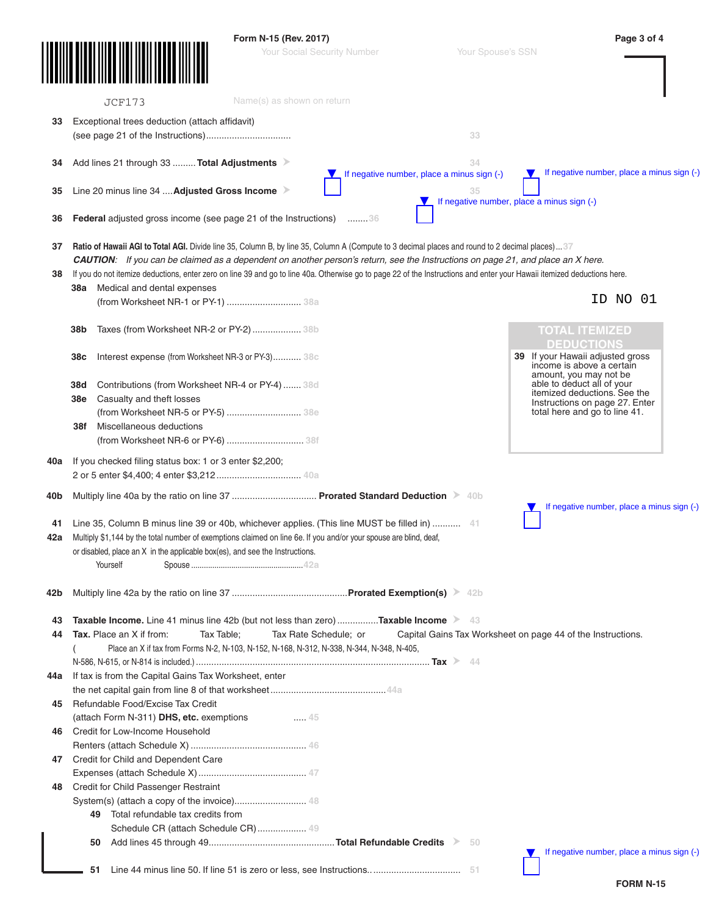|     |                   |                                                                                                                                                                         | Form N-15 (Rev. 2017)                                                                     |                                    |                                                  | Page 3 of 4                                                        |
|-----|-------------------|-------------------------------------------------------------------------------------------------------------------------------------------------------------------------|-------------------------------------------------------------------------------------------|------------------------------------|--------------------------------------------------|--------------------------------------------------------------------|
|     |                   |                                                                                                                                                                         |                                                                                           | <b>Your Social Security Number</b> | Your Spouse's SSN                                |                                                                    |
|     |                   | <b>JCF173</b>                                                                                                                                                           | Name(s) as shown on return                                                                |                                    |                                                  |                                                                    |
| 33  |                   | Exceptional trees deduction (attach affidavit)                                                                                                                          |                                                                                           |                                    |                                                  |                                                                    |
|     |                   |                                                                                                                                                                         |                                                                                           |                                    | 33                                               |                                                                    |
|     |                   |                                                                                                                                                                         |                                                                                           |                                    |                                                  |                                                                    |
| 34  |                   | Add lines 21 through 33  Total Adjustments                                                                                                                              |                                                                                           |                                    | 34                                               | If negative number, place a minus sign (-)<br>$\blacktriangledown$ |
|     |                   | Line 20 minus line 34  Adjusted Gross Income >                                                                                                                          |                                                                                           |                                    | If negative number, place a minus sign (-)       |                                                                    |
| 35  |                   |                                                                                                                                                                         |                                                                                           |                                    | 35<br>If negative number, place a minus sign (-) |                                                                    |
| 36  |                   | <b>Federal</b> adjusted gross income (see page 21 of the Instructions) 36                                                                                               |                                                                                           |                                    |                                                  |                                                                    |
| 37  |                   | <b>Ratio of Hawaii AGI to Total AGI.</b> Divide line 35, Column B, by line 35, Column A (Compute to 3 decimal places and round to 2 decimal places)37                   |                                                                                           |                                    |                                                  |                                                                    |
|     |                   | CAUTION: If you can be claimed as a dependent on another person's return, see the Instructions on page 21, and place an X here.                                         |                                                                                           |                                    |                                                  |                                                                    |
| 38  |                   | If you do not itemize deductions, enter zero on line 39 and go to line 40a. Otherwise go to page 22 of the Instructions and enter your Hawaii itemized deductions here. |                                                                                           |                                    |                                                  |                                                                    |
|     | 38a               | Medical and dental expenses<br>(from Worksheet NR-1 or PY-1)  38a                                                                                                       |                                                                                           |                                    |                                                  | NO 01<br>ID.                                                       |
|     |                   |                                                                                                                                                                         |                                                                                           |                                    |                                                  |                                                                    |
|     | 38b               | Taxes (from Worksheet NR-2 or PY-2)  38b                                                                                                                                |                                                                                           |                                    |                                                  | <b>TOTAL ITEMIZED</b>                                              |
|     |                   |                                                                                                                                                                         |                                                                                           |                                    |                                                  | <b>DEDUCTIONS</b>                                                  |
|     | 38c               | Interest expense (from Worksheet NR-3 or PY-3) 38c                                                                                                                      |                                                                                           |                                    |                                                  | 39 If your Hawaii adjusted gross<br>income is above a certain      |
|     |                   |                                                                                                                                                                         |                                                                                           |                                    |                                                  | amount, you may not be                                             |
|     | 38d<br><b>38e</b> | Contributions (from Worksheet NR-4 or PY-4)  38d                                                                                                                        |                                                                                           |                                    |                                                  | able to deduct all of your<br>itemized deductions. See the         |
|     |                   | Casualty and theft losses<br>(from Worksheet NR-5 or PY-5)  38e                                                                                                         |                                                                                           |                                    |                                                  | Instructions on page 27. Enter<br>total here and go to line 41.    |
|     | 38f               | Miscellaneous deductions                                                                                                                                                |                                                                                           |                                    |                                                  |                                                                    |
|     |                   | (from Worksheet NR-6 or PY-6)  38f                                                                                                                                      |                                                                                           |                                    |                                                  |                                                                    |
| 40a |                   | If you checked filing status box: 1 or 3 enter \$2,200;                                                                                                                 |                                                                                           |                                    |                                                  |                                                                    |
| 40b |                   | Multiply line 40a by the ratio on line 37  Prorated Standard Deduction > 40b                                                                                            |                                                                                           |                                    |                                                  |                                                                    |
|     |                   |                                                                                                                                                                         |                                                                                           |                                    |                                                  | If negative number, place a minus sign (-)                         |
| 41  |                   | Line 35, Column B minus line 39 or 40b, whichever applies. (This line MUST be filled in)  41                                                                            |                                                                                           |                                    |                                                  |                                                                    |
| 42a |                   | Multiply \$1,144 by the total number of exemptions claimed on line 6e. If you and/or your spouse are blind, deaf,                                                       |                                                                                           |                                    |                                                  |                                                                    |
|     |                   | or disabled, place an X in the applicable box(es), and see the Instructions.                                                                                            |                                                                                           |                                    |                                                  |                                                                    |
|     |                   | Yourself                                                                                                                                                                |                                                                                           |                                    |                                                  |                                                                    |
| 42b |                   |                                                                                                                                                                         |                                                                                           |                                    |                                                  |                                                                    |
|     |                   |                                                                                                                                                                         |                                                                                           |                                    |                                                  |                                                                    |
| 43  |                   | <b>Taxable Income.</b> Line 41 minus line 42b (but not less than zero) <b>Taxable Income</b> > 43                                                                       |                                                                                           |                                    |                                                  |                                                                    |
| 44  |                   | Tax. Place an X if from:                                                                                                                                                | Tax Table;                                                                                | Tax Rate Schedule; or              |                                                  | Capital Gains Tax Worksheet on page 44 of the Instructions.        |
|     |                   |                                                                                                                                                                         | Place an X if tax from Forms N-2, N-103, N-152, N-168, N-312, N-338, N-344, N-348, N-405, |                                    |                                                  |                                                                    |
|     |                   |                                                                                                                                                                         |                                                                                           |                                    |                                                  |                                                                    |
| 44a |                   | If tax is from the Capital Gains Tax Worksheet, enter                                                                                                                   |                                                                                           |                                    |                                                  |                                                                    |
| 45  |                   | Refundable Food/Excise Tax Credit                                                                                                                                       |                                                                                           |                                    |                                                  |                                                                    |
|     |                   | (attach Form N-311) DHS, etc. exemptions                                                                                                                                | 45                                                                                        |                                    |                                                  |                                                                    |
| 46  |                   | Credit for Low-Income Household                                                                                                                                         |                                                                                           |                                    |                                                  |                                                                    |
|     |                   |                                                                                                                                                                         |                                                                                           |                                    |                                                  |                                                                    |
| 47  |                   | Credit for Child and Dependent Care                                                                                                                                     |                                                                                           |                                    |                                                  |                                                                    |
|     |                   |                                                                                                                                                                         |                                                                                           |                                    |                                                  |                                                                    |
| 48  |                   | Credit for Child Passenger Restraint                                                                                                                                    |                                                                                           |                                    |                                                  |                                                                    |
|     |                   |                                                                                                                                                                         |                                                                                           |                                    |                                                  |                                                                    |
|     |                   | 49 Total refundable tax credits from                                                                                                                                    |                                                                                           |                                    |                                                  |                                                                    |
|     |                   |                                                                                                                                                                         | Schedule CR (attach Schedule CR) 49                                                       |                                    |                                                  |                                                                    |
|     |                   | 50                                                                                                                                                                      |                                                                                           |                                    | 50                                               |                                                                    |
|     |                   |                                                                                                                                                                         |                                                                                           |                                    |                                                  | If negative number, place a minus sign (-)<br>v                    |
|     |                   | 51                                                                                                                                                                      |                                                                                           |                                    |                                                  |                                                                    |